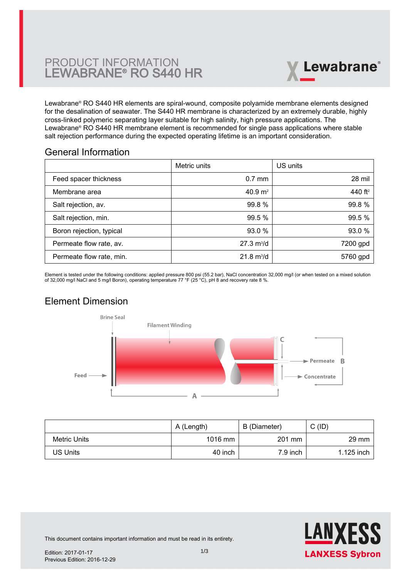# PRODUCT INFORMATION LEWABRANE® RO S440 HR



Lewabrane® RO S440 HR elements are spiral-wound, composite polyamide membrane elements designed [for the desalination of seawater. The S440 HR membrane is characterized by an extremely durable, highly](https://www.pureaqua.com/lanxess-lewabrane-s440-hr-membrane/) cross-linked polymeric separating layer suitable for high salinity, high pressure applications. The Lewabrane® RO S440 HR membrane element is recommended for single pass applications where stable salt rejection performance during the expected operating lifetime is an important consideration.

## General Information

|                          | Metric units                | US units            |
|--------------------------|-----------------------------|---------------------|
| Feed spacer thickness    | $0.7$ mm                    | 28 mil              |
| Membrane area            | 40.9 $m2$                   | 440 ft <sup>2</sup> |
| Salt rejection, av.      | 99.8 %                      | 99.8 %              |
| Salt rejection, min.     | 99.5 %                      | 99.5 %              |
| Boron rejection, typical | 93.0 %                      | 93.0 %              |
| Permeate flow rate, av.  | $27.3 \text{ m}^3/\text{d}$ | 7200 gpd            |
| Permeate flow rate, min. | $21.8 \text{ m}^3/\text{d}$ | 5760 gpd            |

Element is tested under the following conditions: applied pressure 800 psi (55.2 bar), NaCl concentration 32,000 mg/l (or when tested on a mixed solution of 32,000 mg/l NaCl and 5 mg/l Boron), operating temperature 77 °F (25 °C), pH 8 and recovery rate 8 %.

# Element Dimension



|              | A (Length) | B (Diameter) | $C$ (ID)        |
|--------------|------------|--------------|-----------------|
| Metric Units | 1016 mm    | 201 mm       | $29 \text{ mm}$ |
| US Units     | 40 inch    | $7.9$ inch   | 1.125 inch      |



This document contains important information and must be read in its entirety.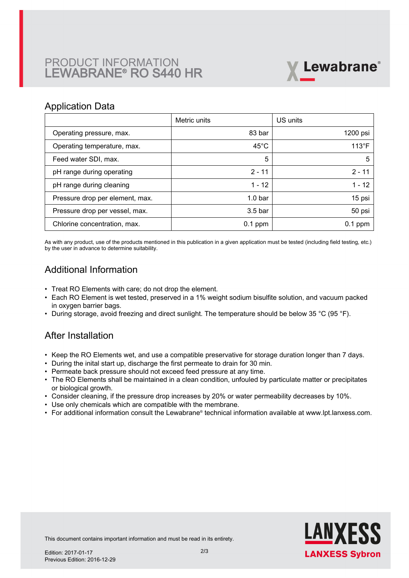# PRODUCT INFORMATION LEWABRANE® RO S440 HR



### Application Data

|                                 | Metric units       | US units       |
|---------------------------------|--------------------|----------------|
| Operating pressure, max.        | 83 bar             | 1200 psi       |
| Operating temperature, max.     | $45^{\circ}$ C     | $113^{\circ}F$ |
| Feed water SDI, max.            | 5                  | 5              |
| pH range during operating       | $2 - 11$           | $2 - 11$       |
| pH range during cleaning        | $1 - 12$           | $1 - 12$       |
| Pressure drop per element, max. | 1.0 <sub>bar</sub> | 15 psi         |
| Pressure drop per vessel, max.  | 3.5 <sub>bar</sub> | 50 psi         |
| Chlorine concentration, max.    | $0.1$ ppm          | $0.1$ ppm      |

As with any product, use of the products mentioned in this publication in a given application must be tested (including field testing, etc.) by the user in advance to determine suitability.

# Additional Information

- Treat RO Elements with care; do not drop the element.
- Each RO Element is wet tested, preserved in a 1% weight sodium bisulfite solution, and vacuum packed in oxygen barrier bags.
- During storage, avoid freezing and direct sunlight. The temperature should be below 35 °C (95 °F).

## After Installation

- Keep the RO Elements wet, and use a compatible preservative for storage duration longer than 7 days.
- During the inital start up, discharge the first permeate to drain for 30 min.
- Permeate back pressure should not exceed feed pressure at any time.
- The RO Elements shall be maintained in a clean condition, unfouled by particulate matter or precipitates or biological growth.
- Consider cleaning, if the pressure drop increases by 20% or water permeability decreases by 10%.
- Use only chemicals which are compatible with the membrane.
- For additional information consult the Lewabrane® technical information available at www.lpt.lanxess.com.



This document contains important information and must be read in its entirety.